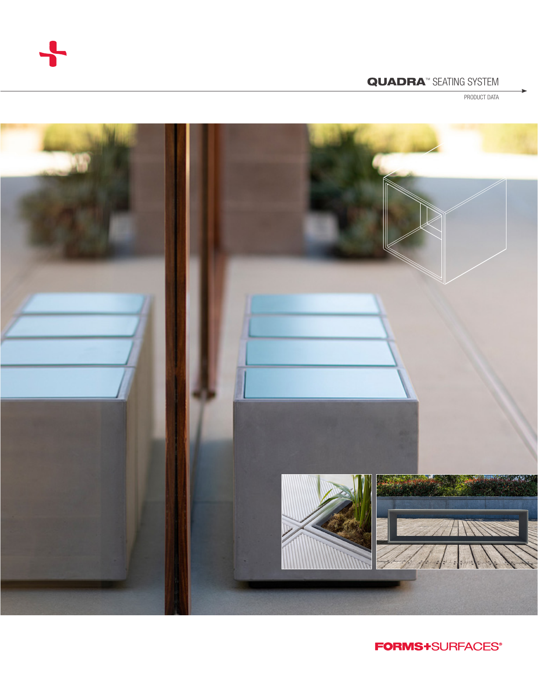

# QUADRA<sup>™</sup> SEATING SYSTEM

PRODUCT DATA



**FORMS+**SURFACES®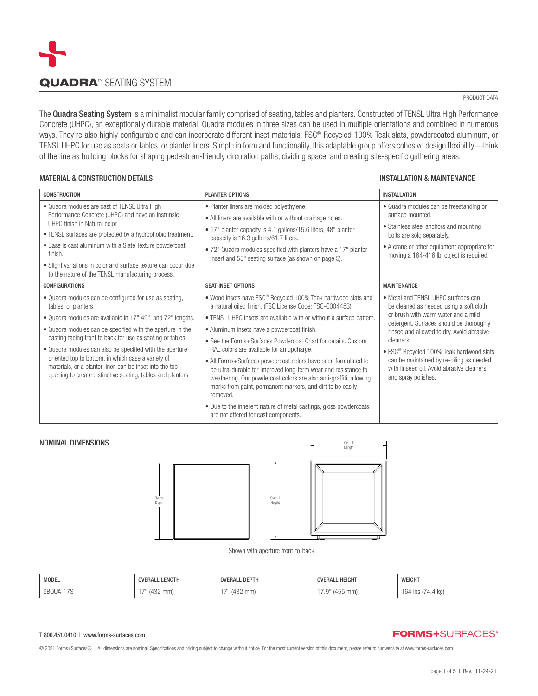

#### PRODUCT DATA

The Quadra Seating System is a minimalist modular family comprised of seating, tables and planters. Constructed of TENSL Ultra High Performance Concrete (UHPC), an exceptionally durable material, Quadra modules in three sizes can be used in multiple orientations and combined in numerous ways. They're also highly configurable and can incorporate different inset materials: FSC® Recycled 100% Teak slats, powdercoated aluminum, or TENSL UHPC for use as seats or tables, or planter liners. Simple in form and functionality, this adaptable group offers cohesive design flexibility—think of the line as building blocks for shaping pedestrian-friendly circulation paths, dividing space, and creating site-specific gathering areas.

### MATERIAL & CONSTRUCTION DETAILS AND STATES INSTALLATION & MAINTENANCE

| <b>CONSTRUCTION</b>                                                                                                                                                                                                                                                                                                                                                                                                                                                                                                    | <b>PLANTER OPTIONS</b>                                                                                                                                                                                                                                                                                                                                                                                                                                                                                                                                                                                                                                                                                                                                                      | <b>INSTALLATION</b>                                                                                                                                                                                                                                                                                                                                                                                 |
|------------------------------------------------------------------------------------------------------------------------------------------------------------------------------------------------------------------------------------------------------------------------------------------------------------------------------------------------------------------------------------------------------------------------------------------------------------------------------------------------------------------------|-----------------------------------------------------------------------------------------------------------------------------------------------------------------------------------------------------------------------------------------------------------------------------------------------------------------------------------------------------------------------------------------------------------------------------------------------------------------------------------------------------------------------------------------------------------------------------------------------------------------------------------------------------------------------------------------------------------------------------------------------------------------------------|-----------------------------------------------------------------------------------------------------------------------------------------------------------------------------------------------------------------------------------------------------------------------------------------------------------------------------------------------------------------------------------------------------|
| • Quadra modules are cast of TENSL Ultra High<br>Performance Concrete (UHPC) and have an instrinsic<br>UHPC finish in Natural color.<br>• TENSL surfaces are protected by a hydrophobic treatment.                                                                                                                                                                                                                                                                                                                     | • Planter liners are molded polyethylene.<br>• All liners are available with or without drainage holes.<br>• 17" planter capacity is 4.1 gallons/15.6 liters; 48" planter<br>capacity is 16.3 gallons/61.7 liters.                                                                                                                                                                                                                                                                                                                                                                                                                                                                                                                                                          | • Quadra modules can be freestanding or<br>surface mounted.<br>• Stainless steel anchors and mounting<br>bolts are sold separately.                                                                                                                                                                                                                                                                 |
| • Base is cast aluminum with a Slate Texture powdercoat<br>finish.<br>• Slight variations in color and surface texture can occur due<br>to the nature of the TENSL manufacturing process.                                                                                                                                                                                                                                                                                                                              | • 72" Quadra modules specified with planters have a 17" planter<br>insert and 55" seating surface (as shown on page 5).                                                                                                                                                                                                                                                                                                                                                                                                                                                                                                                                                                                                                                                     | • A crane or other equipment appropriate for<br>moving a 164-416 lb. object is required.                                                                                                                                                                                                                                                                                                            |
| <b>CONFIGURATIONS</b>                                                                                                                                                                                                                                                                                                                                                                                                                                                                                                  | <b>SEAT INSET OPTIONS</b>                                                                                                                                                                                                                                                                                                                                                                                                                                                                                                                                                                                                                                                                                                                                                   | <b>MAINTENANCE</b>                                                                                                                                                                                                                                                                                                                                                                                  |
| • Quadra modules can be configured for use as seating,<br>tables, or planters.<br>• Quadra modules are available in 17" 49", and 72" lengths.<br>• Quadra modules can be specified with the aperture in the<br>casting facing front to back for use as seating or tables.<br>• Quadra modules can also be specified with the aperture<br>oriented top to bottom, in which case a variety of<br>materials, or a planter liner, can be inset into the top<br>opening to create distinctive seating, tables and planters. | • Wood insets have FSC <sup>®</sup> Recycled 100% Teak hardwood slats and<br>a natural oiled finish. (FSC License Code: FSC-C004453).<br>• TENSL UHPC insets are available with or without a surface pattern.<br>· Aluminum insets have a powdercoat finish.<br>• See the Forms+Surfaces Powdercoat Chart for details, Custom<br>RAL colors are available for an upcharge.<br>• All Forms+Surfaces powdercoat colors have been formulated to<br>be ultra-durable for improved long-term wear and resistance to<br>weathering. Our powdercoat colors are also anti-graffiti, allowing<br>marks from paint, permanent markers, and dirt to be easily<br>removed.<br>• Due to the inherent nature of metal castings, gloss powdercoats<br>are not offered for cast components. | • Metal and TENSL UHPC surfaces can<br>be cleaned as needed using a soft cloth<br>or brush with warm water and a mild<br>detergent. Surfaces should be thoroughly<br>rinsed and allowed to dry. Avoid abrasive<br>cleaners.<br>• FSC <sup>®</sup> Recycled 100% Teak hardwood slats<br>can be maintained by re-oiling as needed<br>with linseed oil. Avoid abrasive cleaners<br>and spray polishes. |



Shown with aperture front-to-back

| <b>MODEL</b>    | <b>OVERALL LENGTH</b> | <b>OVERALL DEPTH</b>    | OVERALL HEIGHT    | WEIGHT                               |
|-----------------|-----------------------|-------------------------|-------------------|--------------------------------------|
| SBQUA-<br>, , v | (432 mm)              | 100<br>mm<br>.<br>ـ∠ت+" | (455 mm)<br>ں ، . | $\frac{4}{1}$ lbs,<br>+.4 KQ)<br>'64 |

#### T 800.451.0410 | www.forms-surfaces.com

NOMINAL DIMENSIONS

# **FORMS+**SURFACES®

© 2021 Forms+Surfaces® | All dimensions are nominal. Specifications and pricing subject to change without notice. For the most current version of this document, please refer to our website at www.forms-surfaces.com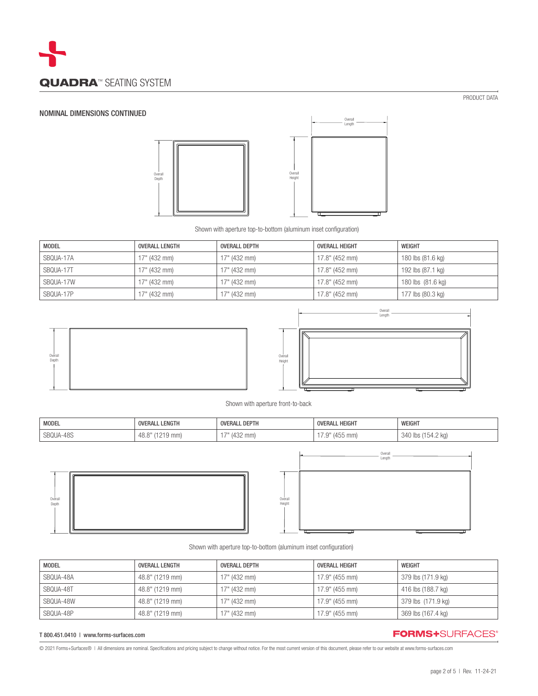

# NOMINAL DIMENSIONS CONTINUED





Shown with aperture top-to-bottom (aluminum inset configuration)

| <b>MODEL</b> | <b>OVERALL LENGTH</b> | OVERALL DEPTH  | <b>OVERALL HEIGHT</b> | <b>WEIGHT</b>     |
|--------------|-----------------------|----------------|-----------------------|-------------------|
| SBQUA-17A    | $17"$ (432 mm)        | $17"$ (432 mm) | 17.8" (452 mm)        | 180 lbs (81.6 kg) |
| SBQUA-17T    | $17"$ (432 mm)        | $17"$ (432 mm) | 17.8" (452 mm)        | 192 lbs (87.1 kg) |
| SBQUA-17W    | $17"$ (432 mm)        | $17"$ (432 mm) | 17.8" (452 mm)        | 180 lbs (81.6 kg) |
| SBQUA-17P    | $17"$ (432 mm)        | $17"$ (432 mm) | 17.8" (452 mm)        | 177 lbs (80.3 kg) |





Shown with aperture front-to-back

| <b>MODEL</b> | LENGTH<br><b>OVERALL</b> | . DEPTH<br><b>OVERALL</b> | <b>OVERALL HEIGHT</b>            | WEIGHT           |
|--------------|--------------------------|---------------------------|----------------------------------|------------------|
| SBQUA-48S    | 19 mm)<br>70.U           | $(432$ mm)                | $\bigcap$<br>455 mm)<br>$\cdots$ | 154.2 ka)<br>340 |





Shown with aperture top-to-bottom (aluminum inset configuration)

| <b>MODEL</b> | OVERALL LENGTH  | OVERALL DEPTH | OVERALL HEIGHT | WEIGHT             |
|--------------|-----------------|---------------|----------------|--------------------|
| SBQUA-48A    | 48.8" (1219 mm) | 17" (432 mm)  | 17.9" (455 mm) | 379 lbs (171.9 kg) |
| SBQUA-48T    | 48.8" (1219 mm) | 17" (432 mm)  | 17.9" (455 mm) | 416 lbs (188.7 kg) |
| SBQUA-48W    | 48.8" (1219 mm) | 17" (432 mm)  | 17.9" (455 mm) | 379 lbs (171.9 kg) |
| SBQUA-48P    | 48.8" (1219 mm) | 17" (432 mm)  | 17.9" (455 mm) | 369 lbs (167.4 kg) |

### T 800.451.0410 | www.forms-surfaces.com

# **FORMS+**SURFACES®

© 2021 Forms+Surfaces® | All dimensions are nominal. Specifications and pricing subject to change without notice. For the most current version of this document, please refer to our website at www.forms-surfaces.com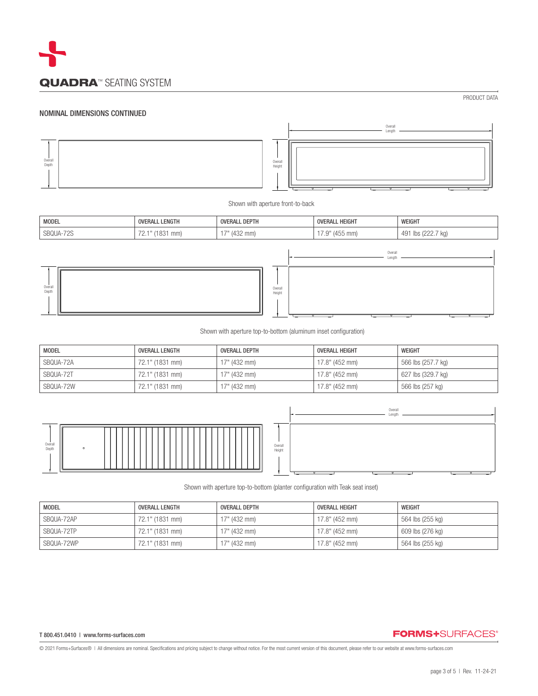

#### NOMINAL DIMENSIONS CONTINUED



Shown with aperture front-to-back

| <b>MODEL</b> | <b>OVERALL LENGTH</b>             | <b>OVERALL DEPTH</b> | <b>OVERALL HEIGHT</b> | WEIGHT             |
|--------------|-----------------------------------|----------------------|-----------------------|--------------------|
| SBQUA-72S    | ົ <sup>-1</sup> ″ (1831 mm)<br>Ζ. | 17" (432 mm)         | $7.9"$ (455 mm)       | 491 lbs (222.7 kg) |
|              |                                   |                      |                       |                    |



Shown with aperture top-to-bottom (aluminum inset configuration)

| <b>MODEL</b> | <b>OVERALL LENGTH</b> | <b>OVERALL DEPTH</b> | OVERALL HEIGHT | WEIGHT             |
|--------------|-----------------------|----------------------|----------------|--------------------|
| SBQUA-72A    | 72.1" (1831 mm)       | 17" (432 mm)         | 17.8" (452 mm) | 566 lbs (257.7 kg) |
| SBQUA-72T    | 72.1" (1831 mm)       | $17"$ (432 mm)       | 17.8" (452 mm) | 627 lbs (329.7 kg) |
| SBQUA-72W    | 72.1" (1831 mm)       | 17" (432 mm)         | 17.8" (452 mm) | 566 lbs (257 kg)   |



Shown with aperture top-to-bottom (planter configuration with Teak seat inset)

| <b>MODEL</b> | OVERALL LENGTH  | OVERALL DEPTH | OVERALL HEIGHT | WEIGHT           |
|--------------|-----------------|---------------|----------------|------------------|
| SBQUA-72AP   | 72.1" (1831 mm) | 17" (432 mm)  | 17.8" (452 mm) | 564 lbs (255 kg) |
| SBQUA-72TP   | 72.1" (1831 mm) | 17" (432 mm)  | 17.8" (452 mm) | 609 lbs (276 kg) |
| SBQUA-72WP   | 72.1" (1831 mm) | 17" (432 mm)  | 17.8" (452 mm) | 564 lbs (255 kg) |

#### T 800.451.0410 | www.forms-surfaces.com

# **FORMS+**SURFACES®

Overall Length

© 2021 Forms+Surfaces® | All dimensions are nominal. Specifications and pricing subject to change without notice. For the most current version of this document, please refer to our website at www.forms-surfaces.com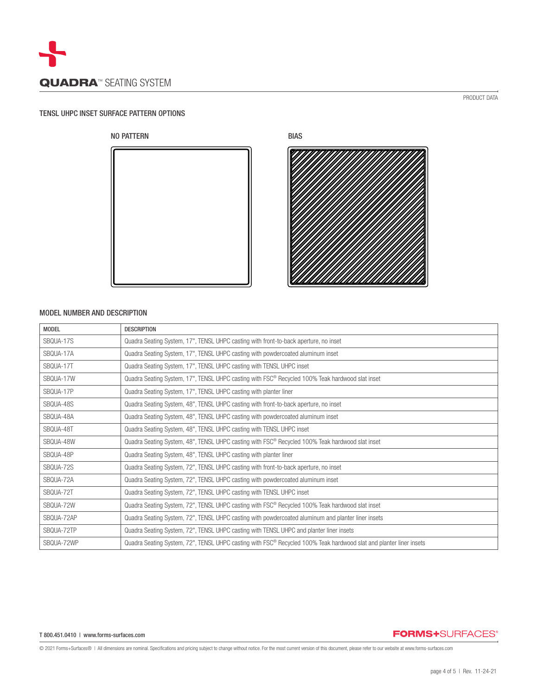

### TENSL UHPC INSET SURFACE PATTERN OPTIONS





## MODEL NUMBER AND DESCRIPTION

| <b>MODEL</b> | <b>DESCRIPTION</b>                                                                                                             |
|--------------|--------------------------------------------------------------------------------------------------------------------------------|
| SBOUA-17S    | Quadra Seating System, 17", TENSL UHPC casting with front-to-back aperture, no inset                                           |
| SBQUA-17A    | Quadra Seating System, 17", TENSL UHPC casting with powdercoated aluminum inset                                                |
| SBQUA-17T    | Quadra Seating System, 17", TENSL UHPC casting with TENSL UHPC inset                                                           |
| SBQUA-17W    | Quadra Seating System, 17", TENSL UHPC casting with FSC® Recycled 100% Teak hardwood slat inset                                |
| SBQUA-17P    | Quadra Seating System, 17", TENSL UHPC casting with planter liner                                                              |
| SBQUA-48S    | Quadra Seating System, 48", TENSL UHPC casting with front-to-back aperture, no inset                                           |
| SBQUA-48A    | Quadra Seating System, 48", TENSL UHPC casting with powdercoated aluminum inset                                                |
| SBQUA-48T    | Quadra Seating System, 48", TENSL UHPC casting with TENSL UHPC inset                                                           |
| SBQUA-48W    | Quadra Seating System, 48", TENSL UHPC casting with FSC® Recycled 100% Teak hardwood slat inset                                |
| SBQUA-48P    | Quadra Seating System, 48", TENSL UHPC casting with planter liner                                                              |
| SBQUA-72S    | Quadra Seating System, 72", TENSL UHPC casting with front-to-back aperture, no inset                                           |
| SBQUA-72A    | Quadra Seating System, 72", TENSL UHPC casting with powdercoated aluminum inset                                                |
| SBQUA-72T    | Quadra Seating System, 72", TENSL UHPC casting with TENSL UHPC inset                                                           |
| SBQUA-72W    | Quadra Seating System, 72", TENSL UHPC casting with FSC <sup>®</sup> Recycled 100% Teak hardwood slat inset                    |
| SBOUA-72AP   | Quadra Seating System, 72", TENSL UHPC casting with powdercoated aluminum and planter liner insets                             |
| SBQUA-72TP   | Quadra Seating System, 72", TENSL UHPC casting with TENSL UHPC and planter liner insets                                        |
| SBQUA-72WP   | Quadra Seating System, 72", TENSL UHPC casting with FSC <sup>®</sup> Recycled 100% Teak hardwood slat and planter liner insets |

#### T 800.451.0410 | www.forms-surfaces.com

**FORMS+**SURFACES®

© 2021 Forms+Surfaces® | All dimensions are nominal. Specifications and pricing subject to change without notice. For the most current version of this document, please refer to our website at www.forms-surfaces.com